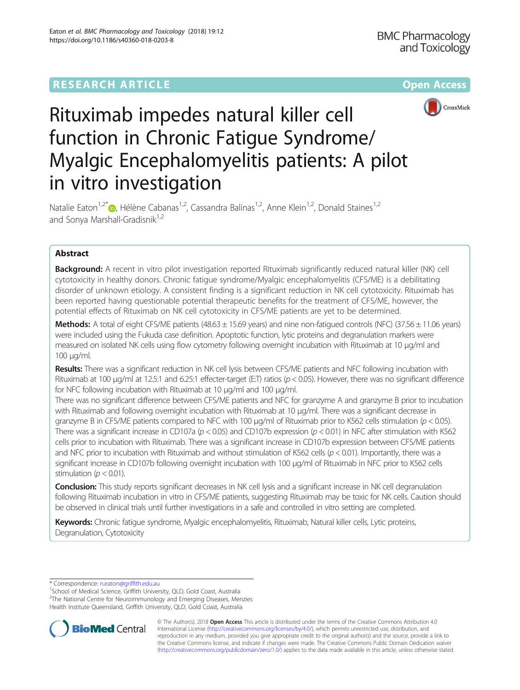

# Rituximab impedes natural killer cell function in Chronic Fatigue Syndrome/ Myalgic Encephalomyelitis patients: A pilot in vitro investigation

Natalie Eaton<sup>1[,](http://orcid.org/0000-0002-0815-3162)2\*</sup> $\bullet$ , Hélène Cabanas<sup>1,2</sup>, Cassandra Balinas<sup>1,2</sup>, Anne Klein<sup>1,2</sup>, Donald Staines<sup>1,2</sup> and Sonya Marshall-Gradisnik<sup>1,2</sup>

# Abstract

Background: A recent in vitro pilot investigation reported Rituximab significantly reduced natural killer (NK) cell cytotoxicity in healthy donors. Chronic fatigue syndrome/Myalgic encephalomyelitis (CFS/ME) is a debilitating disorder of unknown etiology. A consistent finding is a significant reduction in NK cell cytotoxicity. Rituximab has been reported having questionable potential therapeutic benefits for the treatment of CFS/ME, however, the potential effects of Rituximab on NK cell cytotoxicity in CFS/ME patients are yet to be determined.

**Methods:** A total of eight CFS/ME patients (48.63  $\pm$  15.69 years) and nine non-fatigued controls (NFC) (37.56  $\pm$  11.06 years) were included using the Fukuda case definition. Apoptotic function, lytic proteins and degranulation markers were measured on isolated NK cells using flow cytometry following overnight incubation with Rituximab at 10 μg/ml and 100 μg/ml.

Results: There was a significant reduction in NK cell lysis between CFS/ME patients and NFC following incubation with Rituximab at 100 μg/ml at 12.5:1 and 6.25:1 effecter-target (E:T) ratios (p < 0.05). However, there was no significant difference for NFC following incubation with Rituximab at 10 μg/ml and 100 μg/ml.

There was no significant difference between CFS/ME patients and NFC for granzyme A and granzyme B prior to incubation with Rituximab and following overnight incubation with Rituximab at 10 µg/ml. There was a significant decrease in granzyme B in CFS/ME patients compared to NFC with 100 μg/ml of Rituximab prior to K562 cells stimulation (p < 0.05). There was a significant increase in CD107a ( $p < 0.05$ ) and CD107b expression ( $p < 0.01$ ) in NFC after stimulation with K562 cells prior to incubation with Rituximab. There was a significant increase in CD107b expression between CFS/ME patients and NFC prior to incubation with Rituximab and without stimulation of K562 cells ( $p < 0.01$ ). Importantly, there was a significant increase in CD107b following overnight incubation with 100 μg/ml of Rituximab in NFC prior to K562 cells stimulation ( $p < 0.01$ ).

Conclusion: This study reports significant decreases in NK cell lysis and a significant increase in NK cell degranulation following Rituximab incubation in vitro in CFS/ME patients, suggesting Rituximab may be toxic for NK cells. Caution should be observed in clinical trials until further investigations in a safe and controlled in vitro setting are completed.

Keywords: Chronic fatigue syndrome, Myalgic encephalomyelitis, Rituximab, Natural killer cells, Lytic proteins, Degranulation, Cytotoxicity

\* Correspondence: [n.eaton@griffith.edu.au](mailto:n.eaton@griffith.edu.au) <sup>1</sup>

<sup>1</sup>School of Medical Science, Griffith University, QLD, Gold Coast, Australia

<sup>2</sup>The National Centre for Neuroimmunology and Emerging Diseases, Menzies Health Institute Queensland, Griffith University, QLD, Gold Coast, Australia



© The Author(s). 2018 Open Access This article is distributed under the terms of the Creative Commons Attribution 4.0 International License [\(http://creativecommons.org/licenses/by/4.0/](http://creativecommons.org/licenses/by/4.0/)), which permits unrestricted use, distribution, and reproduction in any medium, provided you give appropriate credit to the original author(s) and the source, provide a link to the Creative Commons license, and indicate if changes were made. The Creative Commons Public Domain Dedication waiver [\(http://creativecommons.org/publicdomain/zero/1.0/](http://creativecommons.org/publicdomain/zero/1.0/)) applies to the data made available in this article, unless otherwise stated.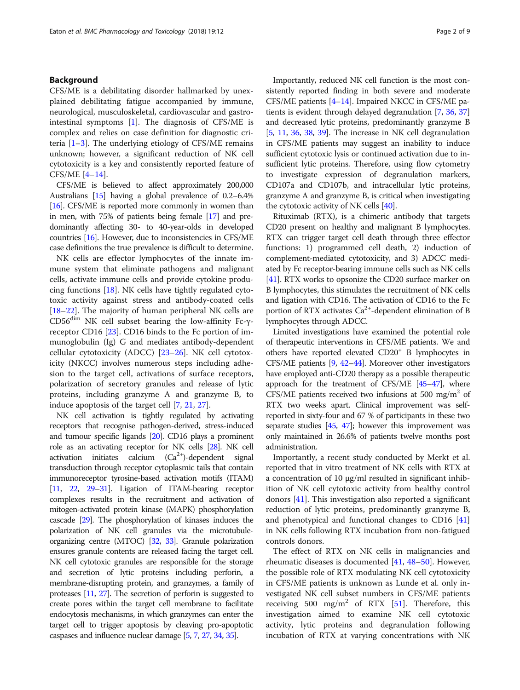## Background

CFS/ME is a debilitating disorder hallmarked by unexplained debilitating fatigue accompanied by immune, neurological, musculoskeletal, cardiovascular and gastrointestinal symptoms [\[1\]](#page-7-0). The diagnosis of CFS/ME is complex and relies on case definition for diagnostic criteria  $[1-3]$  $[1-3]$  $[1-3]$  $[1-3]$  $[1-3]$ . The underlying etiology of CFS/ME remains unknown; however, a significant reduction of NK cell cytotoxicity is a key and consistently reported feature of CFS/ME [[4](#page-7-0)–[14](#page-7-0)].

CFS/ME is believed to affect approximately 200,000 Australians [\[15](#page-7-0)] having a global prevalence of 0.2–6.4% [[16](#page-7-0)]. CFS/ME is reported more commonly in women than in men, with 75% of patients being female [\[17](#page-7-0)] and predominantly affecting 30- to 40-year-olds in developed countries [\[16](#page-7-0)]. However, due to inconsistencies in CFS/ME case definitions the true prevalence is difficult to determine.

NK cells are effector lymphocytes of the innate immune system that eliminate pathogens and malignant cells, activate immune cells and provide cytokine producing functions [\[18](#page-7-0)]. NK cells have tightly regulated cytotoxic activity against stress and antibody-coated cells [[18](#page-7-0)–[22](#page-8-0)]. The majority of human peripheral NK cells are CD56dim NK cell subset bearing the low-affinity Fc-γreceptor CD16 [\[23](#page-8-0)]. CD16 binds to the Fc portion of immunoglobulin (Ig) G and mediates antibody-dependent cellular cytotoxicity (ADCC) [[23](#page-8-0)–[26](#page-8-0)]. NK cell cytotoxicity (NKCC) involves numerous steps including adhesion to the target cell, activations of surface receptors, polarization of secretory granules and release of lytic proteins, including granzyme A and granzyme B, to induce apoptosis of the target cell [\[7](#page-7-0), [21](#page-8-0), [27](#page-8-0)].

NK cell activation is tightly regulated by activating receptors that recognise pathogen-derived, stress-induced and tumour specific ligands [\[20](#page-8-0)]. CD16 plays a prominent role as an activating receptor for NK cells [\[28](#page-8-0)]. NK cell activation initiates calcium  $(Ca^{2+})$ -dependent signal transduction through receptor cytoplasmic tails that contain immunoreceptor tyrosine-based activation motifs (ITAM) [[11,](#page-7-0) [22,](#page-8-0) [29](#page-8-0)–[31\]](#page-8-0). Ligation of ITAM-bearing receptor complexes results in the recruitment and activation of mitogen-activated protein kinase (MAPK) phosphorylation cascade [[29\]](#page-8-0). The phosphorylation of kinases induces the polarization of NK cell granules via the microtubuleorganizing centre (MTOC) [\[32,](#page-8-0) [33\]](#page-8-0). Granule polarization ensures granule contents are released facing the target cell. NK cell cytotoxic granules are responsible for the storage and secretion of lytic proteins including perforin, a membrane-disrupting protein, and granzymes, a family of proteases [[11](#page-7-0), [27\]](#page-8-0). The secretion of perforin is suggested to create pores within the target cell membrane to facilitate endocytosis mechanisms, in which granzymes can enter the target cell to trigger apoptosis by cleaving pro-apoptotic caspases and influence nuclear damage [[5](#page-7-0), [7,](#page-7-0) [27](#page-8-0), [34](#page-8-0), [35](#page-8-0)].

Importantly, reduced NK cell function is the most consistently reported finding in both severe and moderate CFS/ME patients [[4](#page-7-0)–[14](#page-7-0)]. Impaired NKCC in CFS/ME patients is evident through delayed degranulation [\[7,](#page-7-0) [36,](#page-8-0) [37](#page-8-0)] and decreased lytic proteins, predominantly granzyme B [[5,](#page-7-0) [11,](#page-7-0) [36](#page-8-0), [38](#page-8-0), [39\]](#page-8-0). The increase in NK cell degranulation in CFS/ME patients may suggest an inability to induce sufficient cytotoxic lysis or continued activation due to insufficient lytic proteins. Therefore, using flow cytometry to investigate expression of degranulation markers, CD107a and CD107b, and intracellular lytic proteins, granzyme A and granzyme B, is critical when investigating the cytotoxic activity of NK cells [\[40\]](#page-8-0).

Rituximab (RTX), is a chimeric antibody that targets CD20 present on healthy and malignant B lymphocytes. RTX can trigger target cell death through three effector functions: 1) programmed cell death, 2) induction of complement-mediated cytotoxicity, and 3) ADCC mediated by Fc receptor-bearing immune cells such as NK cells [[41](#page-8-0)]. RTX works to opsonize the CD20 surface marker on B lymphocytes, this stimulates the recruitment of NK cells and ligation with CD16. The activation of CD16 to the Fc portion of RTX activates  $Ca^{2+}$ -dependent elimination of B lymphocytes through ADCC.

Limited investigations have examined the potential role of therapeutic interventions in CFS/ME patients. We and others have reported elevated CD20+ B lymphocytes in CFS/ME patients [[9](#page-7-0), [42](#page-8-0)–[44](#page-8-0)]. Moreover other investigators have employed anti-CD20 therapy as a possible therapeutic approach for the treatment of CFS/ME  $[45-47]$  $[45-47]$  $[45-47]$  $[45-47]$  $[45-47]$ , where CFS/ME patients received two infusions at 500 mg/m<sup>2</sup> of RTX two weeks apart. Clinical improvement was selfreported in sixty-four and 67 % of participants in these two separate studies  $[45, 47]$  $[45, 47]$  $[45, 47]$  $[45, 47]$ ; however this improvement was only maintained in 26.6% of patients twelve months post administration.

Importantly, a recent study conducted by Merkt et al. reported that in vitro treatment of NK cells with RTX at a concentration of 10 μg/ml resulted in significant inhibition of NK cell cytotoxic activity from healthy control donors [\[41\]](#page-8-0). This investigation also reported a significant reduction of lytic proteins, predominantly granzyme B, and phenotypical and functional changes to CD16 [[41](#page-8-0)] in NK cells following RTX incubation from non-fatigued controls donors.

The effect of RTX on NK cells in malignancies and rheumatic diseases is documented [\[41](#page-8-0), [48](#page-8-0)–[50](#page-8-0)]. However, the possible role of RTX modulating NK cell cytotoxicity in CFS/ME patients is unknown as Lunde et al. only investigated NK cell subset numbers in CFS/ME patients receiving 500 mg/m<sup>2</sup> of RTX [[51](#page-8-0)]. Therefore, this investigation aimed to examine NK cell cytotoxic activity, lytic proteins and degranulation following incubation of RTX at varying concentrations with NK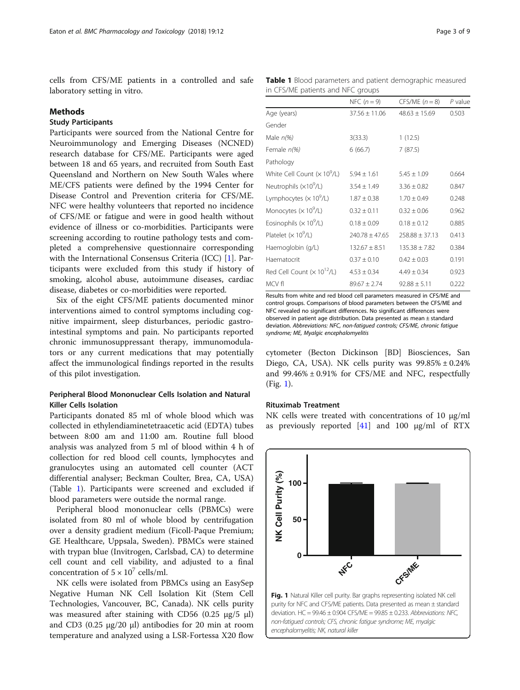<span id="page-2-0"></span>cells from CFS/ME patients in a controlled and safe laboratory setting in vitro.

#### Methods

## Study Participants

Participants were sourced from the National Centre for Neuroimmunology and Emerging Diseases (NCNED) research database for CFS/ME. Participants were aged between 18 and 65 years, and recruited from South East Queensland and Northern on New South Wales where ME/CFS patients were defined by the 1994 Center for Disease Control and Prevention criteria for CFS/ME. NFC were healthy volunteers that reported no incidence of CFS/ME or fatigue and were in good health without evidence of illness or co-morbidities. Participants were screening according to routine pathology tests and completed a comprehensive questionnaire corresponding with the International Consensus Criteria (ICC) [\[1](#page-7-0)]. Participants were excluded from this study if history of smoking, alcohol abuse, autoimmune diseases, cardiac disease, diabetes or co-morbidities were reported.

Six of the eight CFS/ME patients documented minor interventions aimed to control symptoms including cognitive impairment, sleep disturbances, periodic gastrointestinal symptoms and pain. No participants reported chronic immunosuppressant therapy, immunomodulators or any current medications that may potentially affect the immunological findings reported in the results of this pilot investigation.

## Peripheral Blood Mononuclear Cells Isolation and Natural Killer Cells Isolation

Participants donated 85 ml of whole blood which was collected in ethylendiaminetetraacetic acid (EDTA) tubes between 8:00 am and 11:00 am. Routine full blood analysis was analyzed from 5 ml of blood within 4 h of collection for red blood cell counts, lymphocytes and granulocytes using an automated cell counter (ACT differential analyser; Beckman Coulter, Brea, CA, USA) (Table 1). Participants were screened and excluded if blood parameters were outside the normal range.

Peripheral blood mononuclear cells (PBMCs) were isolated from 80 ml of whole blood by centrifugation over a density gradient medium (Ficoll-Paque Premium; GE Healthcare, Uppsala, Sweden). PBMCs were stained with trypan blue (Invitrogen, Carlsbad, CA) to determine cell count and cell viability, and adjusted to a final concentration of  $5 \times 10^7$  cells/ml.

NK cells were isolated from PBMCs using an EasySep Negative Human NK Cell Isolation Kit (Stem Cell Technologies, Vancouver, BC, Canada). NK cells purity was measured after staining with CD56 (0.25 μg/5 μl) and CD3 (0.25 μg/20 μl) antibodies for 20 min at room temperature and analyzed using a LSR-Fortessa X20 flow

Table 1 Blood parameters and patient demographic measured in CFS/ME patients and NFC groups

|                                   | NFC $(n=9)$       | $CFS/ME (n = 8)$  | P value |
|-----------------------------------|-------------------|-------------------|---------|
| Age (years)                       | $37.56 \pm 11.06$ | $48.63 \pm 15.69$ | 0.503   |
| Gender                            |                   |                   |         |
| Male $n\llap/0.06$                | 3(33.3)           | 1(12.5)           |         |
| Female n(%)                       | 6(66.7)           | 7(87.5)           |         |
| Pathology                         |                   |                   |         |
| White Cell Count $(x 109/L)$      | $5.94 + 1.61$     | $5.45 + 1.09$     | 0.664   |
| Neutrophils (×10 <sup>9</sup> /L) | $3.54 \pm 1.49$   | $3.36 + 0.82$     | 0.847   |
| Lymphocytes $(x 109/L)$           | $1.87 \pm 0.38$   | $1.70 \pm 0.49$   | 0.248   |
| Monocytes $(x 109/L)$             | $0.32 \pm 0.11$   | $0.32 \pm 0.06$   | 0.962   |
| Eosinophils $(x 109/L)$           | $0.18 \pm 0.09$   | $0.18 \pm 0.12$   | 0.885   |
| Platelet $(x 109/L)$              | $740.78 + 47.65$  | $258.88 + 37.13$  | 0.413   |
| Haemoglobin (g/L)                 | $132.67 \pm 8.51$ | $135.38 \pm 7.82$ | 0.384   |
| Haematocrit                       | $0.37 \pm 0.10$   | $0.42 \pm 0.03$   | 0.191   |
| Red Cell Count $(x 10^{12}/L)$    | $4.53 \pm 0.34$   | $4.49 + 0.34$     | 0.923   |
| MCV fl                            | $89.67 + 2.74$    | $92.88 \pm 5.11$  | 0.222   |

Results from white and red blood cell parameters measured in CFS/ME and control groups. Comparisons of blood parameters between the CFS/ME and NFC revealed no significant differences. No significant differences were observed in patient age distribution. Data presented as mean ± standard deviation. Abbreviations: NFC, non-fatigued controls; CFS/ME, chronic fatigue syndrome; ME, Myalgic encephalomyelitis

cytometer (Becton Dickinson [BD] Biosciences, San Diego, CA, USA). NK cells purity was  $99.85\% \pm 0.24\%$ and 99.46% ± 0.91% for CFS/ME and NFC, respectfully (Fig. 1).

#### Rituximab Treatment

NK cells were treated with concentrations of 10 μg/ml as previously reported  $[41]$  and 100  $\mu$ g/ml of RTX

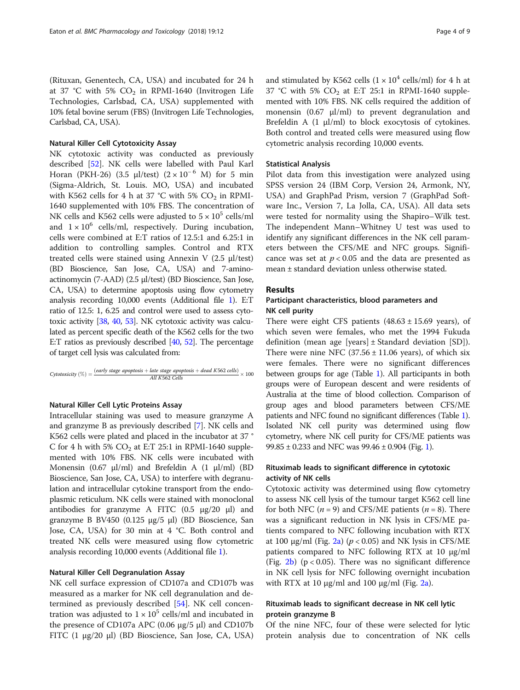(Rituxan, Genentech, CA, USA) and incubated for 24 h at 37 °C with 5%  $CO<sub>2</sub>$  in RPMI-1640 (Invitrogen Life Technologies, Carlsbad, CA, USA) supplemented with 10% fetal bovine serum (FBS) (Invitrogen Life Technologies, Carlsbad, CA, USA).

## Natural Killer Cell Cytotoxicity Assay

NK cytotoxic activity was conducted as previously described [[52\]](#page-8-0). NK cells were labelled with Paul Karl Horan (PKH-26) (3.5 µl/test)  $(2 \times 10^{-6}$  M) for 5 min (Sigma-Aldrich, St. Louis. MO, USA) and incubated with K562 cells for 4 h at 37 °C with 5%  $CO<sub>2</sub>$  in RPMI-1640 supplemented with 10% FBS. The concentration of NK cells and K562 cells were adjusted to  $5 \times 10^5$  cells/ml and  $1 \times 10^6$  cells/ml, respectively. During incubation, cells were combined at E:T ratios of 12.5:1 and 6.25:1 in addition to controlling samples. Control and RTX treated cells were stained using Annexin V (2.5 μl/test) (BD Bioscience, San Jose, CA, USA) and 7-aminoactinomycin (7-AAD) (2.5 μl/test) (BD Bioscience, San Jose, CA, USA) to determine apoptosis using flow cytometry analysis recording 10,000 events (Additional file [1\)](#page-7-0). E:T ratio of 12.5: 1, 6.25 and control were used to assess cytotoxic activity [\[38,](#page-8-0) [40,](#page-8-0) [53\]](#page-8-0). NK cytotoxic activity was calculated as percent specific death of the K562 cells for the two E:T ratios as previously described [[40,](#page-8-0) [52\]](#page-8-0). The percentage of target cell lysis was calculated from:

$$
Cytotaxicity \ (\%) = \frac{(early\ stage\ apoptosis + late\ stage\ apoptosis + dead\ K562\ cells)}{All\ K562\ cells} \times 100
$$

## Natural Killer Cell Lytic Proteins Assay

Intracellular staining was used to measure granzyme A and granzyme B as previously described [\[7\]](#page-7-0). NK cells and K562 cells were plated and placed in the incubator at 37 ° C for 4 h with 5%  $CO<sub>2</sub>$  at E:T 25:1 in RPMI-1640 supplemented with 10% FBS. NK cells were incubated with Monensin (0.67 μl/ml) and Brefeldin A (1 μl/ml) (BD Bioscience, San Jose, CA, USA) to interfere with degranulation and intracellular cytokine transport from the endoplasmic reticulum. NK cells were stained with monoclonal antibodies for granzyme A FITC (0.5 μg/20 μl) and granzyme B BV450 (0.125 μg/5 μl) (BD Bioscience, San Jose, CA, USA) for 30 min at 4 °C. Both control and treated NK cells were measured using flow cytometric analysis recording 10,000 events (Additional file [1](#page-7-0)).

#### Natural Killer Cell Degranulation Assay

NK cell surface expression of CD107a and CD107b was measured as a marker for NK cell degranulation and determined as previously described [\[54](#page-8-0)]. NK cell concentration was adjusted to  $1 \times 10^5$  cells/ml and incubated in the presence of CD107a APC (0.06 μg/5 μl) and CD107b FITC (1 μg/20 μl) (BD Bioscience, San Jose, CA, USA)

and stimulated by K562 cells  $(1 \times 10^4 \text{ cells/ml})$  for 4 h at 37 °C with 5%  $CO<sub>2</sub>$  at E:T 25:1 in RPMI-1640 supplemented with 10% FBS. NK cells required the addition of monensin (0.67 μl/ml) to prevent degranulation and Brefeldin A (1 μl/ml) to block exocytosis of cytokines. Both control and treated cells were measured using flow cytometric analysis recording 10,000 events.

#### Statistical Analysis

Pilot data from this investigation were analyzed using SPSS version 24 (IBM Corp, Version 24, Armonk, NY, USA) and GraphPad Prism, version 7 (GraphPad Software Inc., Version 7, La Jolla, CA, USA). All data sets were tested for normality using the Shapiro–Wilk test. The independent Mann–Whitney U test was used to identify any significant differences in the NK cell parameters between the CFS/ME and NFC groups. Significance was set at  $p < 0.05$  and the data are presented as mean ± standard deviation unless otherwise stated.

## Results

## Participant characteristics, blood parameters and NK cell purity

There were eight CFS patients  $(48.63 \pm 15.69 \text{ years})$ , of which seven were females, who met the 1994 Fukuda definition (mean age [years]  $\pm$  Standard deviation [SD]). There were nine NFC  $(37.56 \pm 11.06 \text{ years})$ , of which six were females. There were no significant differences between groups for age (Table [1\)](#page-2-0). All participants in both groups were of European descent and were residents of Australia at the time of blood collection. Comparison of group ages and blood parameters between CFS/ME patients and NFC found no significant differences (Table [1](#page-2-0)). Isolated NK cell purity was determined using flow cytometry, where NK cell purity for CFS/ME patients was 99.85  $\pm$  0.233 and NFC was 99.46  $\pm$  0.904 (Fig. [1\)](#page-2-0).

## Rituximab leads to significant difference in cytotoxic activity of NK cells

Cytotoxic activity was determined using flow cytometry to assess NK cell lysis of the tumour target K562 cell line for both NFC ( $n = 9$ ) and CFS/ME patients ( $n = 8$ ). There was a significant reduction in NK lysis in CFS/ME patients compared to NFC following incubation with RTX at 100 μg/ml (Fig. [2a\)](#page-4-0) ( $p$  < 0.05) and NK lysis in CFS/ME patients compared to NFC following RTX at 10 μg/ml (Fig.  $2b$ ) (p < 0.05). There was no significant difference in NK cell lysis for NFC following overnight incubation with RTX at 10  $\mu$ g/ml and 100  $\mu$ g/ml (Fig. [2a](#page-4-0)).

## Rituximab leads to significant decrease in NK cell lytic protein granzyme B

Of the nine NFC, four of these were selected for lytic protein analysis due to concentration of NK cells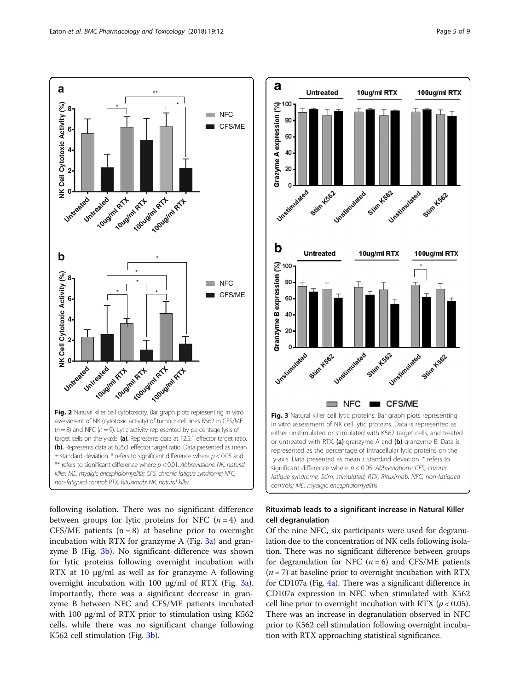<span id="page-4-0"></span>

following isolation. There was no significant difference between groups for lytic proteins for NFC  $(n = 4)$  and CFS/ME patients  $(n = 8)$  at baseline prior to overnight incubation with RTX for granzyme A (Fig.  $3a$ ) and granzyme B (Fig. 3b). No significant difference was shown for lytic proteins following overnight incubation with RTX at 10 μg/ml as well as for granzyme A following overnight incubation with 100 μg/ml of RTX (Fig. 3a). Importantly, there was a significant decrease in granzyme B between NFC and CFS/ME patients incubated with 100 μg/ml of RTX prior to stimulation using K562 cells, while there was no significant change following K562 cell stimulation (Fig. 3b).



## Rituximab leads to a significant increase in Natural Killer cell degranulation

Of the nine NFC, six participants were used for degranulation due to the concentration of NK cells following isolation. There was no significant difference between groups for degranulation for NFC  $(n = 6)$  and CFS/ME patients  $(n = 7)$  at baseline prior to overnight incubation with RTX for CD107a (Fig. [4a](#page-5-0)). There was a significant difference in CD107a expression in NFC when stimulated with K562 cell line prior to overnight incubation with RTX ( $p < 0.05$ ). There was an increase in degranulation observed in NFC prior to K562 cell stimulation following overnight incubation with RTX approaching statistical significance.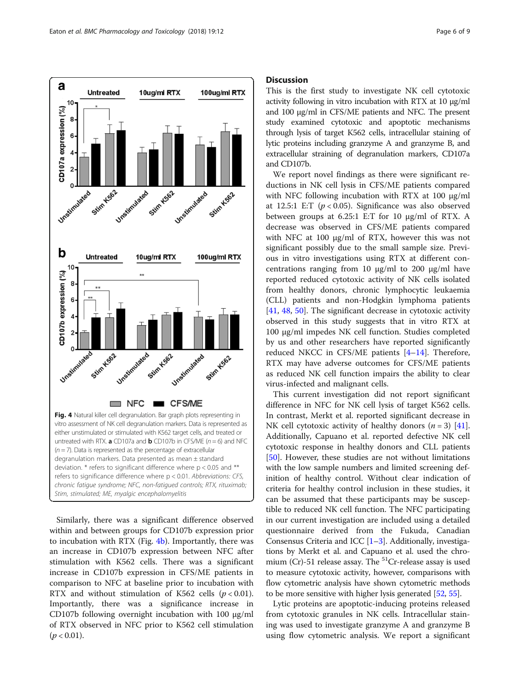<span id="page-5-0"></span>

Similarly, there was a significant difference observed within and between groups for CD107b expression prior to incubation with RTX (Fig.  $4b$ ). Importantly, there was an increase in CD107b expression between NFC after stimulation with K562 cells. There was a significant increase in CD107b expression in CFS/ME patients in comparison to NFC at baseline prior to incubation with RTX and without stimulation of K562 cells  $(p < 0.01)$ . Importantly, there was a significance increase in CD107b following overnight incubation with 100 μg/ml of RTX observed in NFC prior to K562 cell stimulation  $(p < 0.01)$ .

### **Discussion**

This is the first study to investigate NK cell cytotoxic activity following in vitro incubation with RTX at 10 μg/ml and 100 μg/ml in CFS/ME patients and NFC. The present study examined cytotoxic and apoptotic mechanisms through lysis of target K562 cells, intracellular staining of lytic proteins including granzyme A and granzyme B, and extracellular straining of degranulation markers, CD107a and CD107b.

We report novel findings as there were significant reductions in NK cell lysis in CFS/ME patients compared with NFC following incubation with RTX at 100 μg/ml at 12.5:1 E:T ( $p < 0.05$ ). Significance was also observed between groups at 6.25:1 E:T for 10 μg/ml of RTX. A decrease was observed in CFS/ME patients compared with NFC at 100 μg/ml of RTX, however this was not significant possibly due to the small sample size. Previous in vitro investigations using RTX at different concentrations ranging from 10 μg/ml to 200 μg/ml have reported reduced cytotoxic activity of NK cells isolated from healthy donors, chronic lymphocytic leukaemia (CLL) patients and non-Hodgkin lymphoma patients [[41,](#page-8-0) [48,](#page-8-0) [50\]](#page-8-0). The significant decrease in cytotoxic activity observed in this study suggests that in vitro RTX at 100 μg/ml impedes NK cell function. Studies completed by us and other researchers have reported significantly reduced NKCC in CFS/ME patients [[4](#page-7-0)–[14](#page-7-0)]. Therefore, RTX may have adverse outcomes for CFS/ME patients as reduced NK cell function impairs the ability to clear virus-infected and malignant cells.

This current investigation did not report significant difference in NFC for NK cell lysis of target K562 cells. In contrast, Merkt et al. reported significant decrease in NK cell cytotoxic activity of healthy donors  $(n = 3)$  [\[41](#page-8-0)]. Additionally, Capuano et al. reported defective NK cell cytotoxic response in healthy donors and CLL patients [[50\]](#page-8-0). However, these studies are not without limitations with the low sample numbers and limited screening definition of healthy control. Without clear indication of criteria for healthy control inclusion in these studies, it can be assumed that these participants may be susceptible to reduced NK cell function. The NFC participating in our current investigation are included using a detailed questionnaire derived from the Fukuda, Canadian Consensus Criteria and ICC [\[1](#page-7-0)–[3\]](#page-7-0). Additionally, investigations by Merkt et al. and Capuano et al. used the chromium (Cr)-51 release assay. The  ${}^{51}$ Cr-release assay is used to measure cytotoxic activity, however, comparisons with flow cytometric analysis have shown cytometric methods to be more sensitive with higher lysis generated [[52](#page-8-0), [55\]](#page-8-0).

Lytic proteins are apoptotic-inducing proteins released from cytotoxic granules in NK cells. Intracellular staining was used to investigate granzyme A and granzyme B using flow cytometric analysis. We report a significant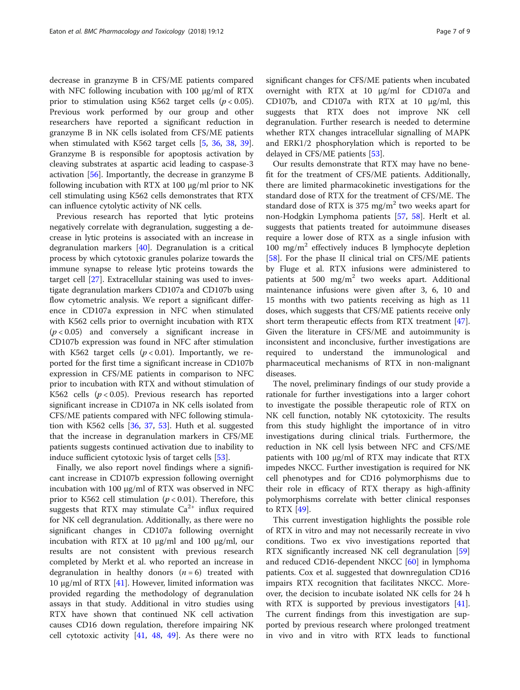decrease in granzyme B in CFS/ME patients compared with NFC following incubation with 100 μg/ml of RTX prior to stimulation using K562 target cells ( $p < 0.05$ ). Previous work performed by our group and other researchers have reported a significant reduction in granzyme B in NK cells isolated from CFS/ME patients when stimulated with K562 target cells [\[5](#page-7-0), [36,](#page-8-0) [38,](#page-8-0) [39](#page-8-0)]. Granzyme B is responsible for apoptosis activation by cleaving substrates at aspartic acid leading to caspase-3 activation [[56\]](#page-8-0). Importantly, the decrease in granzyme B following incubation with RTX at 100 μg/ml prior to NK cell stimulating using K562 cells demonstrates that RTX can influence cytolytic activity of NK cells.

Previous research has reported that lytic proteins negatively correlate with degranulation, suggesting a decrease in lytic proteins is associated with an increase in degranulation markers [\[40\]](#page-8-0). Degranulation is a critical process by which cytotoxic granules polarize towards the immune synapse to release lytic proteins towards the target cell [\[27](#page-8-0)]. Extracellular staining was used to investigate degranulation markers CD107a and CD107b using flow cytometric analysis. We report a significant difference in CD107a expression in NFC when stimulated with K562 cells prior to overnight incubation with RTX  $(p < 0.05)$  and conversely a significant increase in CD107b expression was found in NFC after stimulation with K562 target cells  $(p < 0.01)$ . Importantly, we reported for the first time a significant increase in CD107b expression in CFS/ME patients in comparison to NFC prior to incubation with RTX and without stimulation of K562 cells  $(p < 0.05)$ . Previous research has reported significant increase in CD107a in NK cells isolated from CFS/ME patients compared with NFC following stimulation with K562 cells [\[36](#page-8-0), [37](#page-8-0), [53](#page-8-0)]. Huth et al. suggested that the increase in degranulation markers in CFS/ME patients suggests continued activation due to inability to induce sufficient cytotoxic lysis of target cells [\[53](#page-8-0)].

Finally, we also report novel findings where a significant increase in CD107b expression following overnight incubation with 100 μg/ml of RTX was observed in NFC prior to K562 cell stimulation ( $p < 0.01$ ). Therefore, this suggests that RTX may stimulate  $Ca^{2+}$  influx required for NK cell degranulation. Additionally, as there were no significant changes in CD107a following overnight incubation with RTX at 10 μg/ml and 100 μg/ml, our results are not consistent with previous research completed by Merkt et al. who reported an increase in degranulation in healthy donors  $(n = 6)$  treated with 10 μg/ml of RTX [\[41\]](#page-8-0). However, limited information was provided regarding the methodology of degranulation assays in that study. Additional in vitro studies using RTX have shown that continued NK cell activation causes CD16 down regulation, therefore impairing NK cell cytotoxic activity  $[41, 48, 49]$  $[41, 48, 49]$  $[41, 48, 49]$  $[41, 48, 49]$  $[41, 48, 49]$  $[41, 48, 49]$  $[41, 48, 49]$ . As there were no significant changes for CFS/ME patients when incubated overnight with RTX at 10 μg/ml for CD107a and CD107b, and CD107a with RTX at 10 μg/ml, this suggests that RTX does not improve NK cell degranulation. Further research is needed to determine whether RTX changes intracellular signalling of MAPK and ERK1/2 phosphorylation which is reported to be delayed in CFS/ME patients [\[53](#page-8-0)].

Our results demonstrate that RTX may have no benefit for the treatment of CFS/ME patients. Additionally, there are limited pharmacokinetic investigations for the standard dose of RTX for the treatment of CFS/ME. The standard dose of RTX is 375 mg/m<sup>2</sup> two weeks apart for non-Hodgkin Lymphoma patients [\[57,](#page-8-0) [58](#page-8-0)]. Herlt et al. suggests that patients treated for autoimmune diseases require a lower dose of RTX as a single infusion with 100 mg/m<sup>2</sup> effectively induces B lymphocyte depletion [[58\]](#page-8-0). For the phase II clinical trial on CFS/ME patients by Fluge et al. RTX infusions were administered to patients at 500 mg/m<sup>2</sup> two weeks apart. Additional maintenance infusions were given after 3, 6, 10 and 15 months with two patients receiving as high as 11 doses, which suggests that CFS/ME patients receive only short term therapeutic effects from RTX treatment [\[47](#page-8-0)]. Given the literature in CFS/ME and autoimmunity is inconsistent and inconclusive, further investigations are required to understand the immunological and pharmaceutical mechanisms of RTX in non-malignant diseases.

The novel, preliminary findings of our study provide a rationale for further investigations into a larger cohort to investigate the possible therapeutic role of RTX on NK cell function, notably NK cytotoxicity. The results from this study highlight the importance of in vitro investigations during clinical trials. Furthermore, the reduction in NK cell lysis between NFC and CFS/ME patients with 100 μg/ml of RTX may indicate that RTX impedes NKCC. Further investigation is required for NK cell phenotypes and for CD16 polymorphisms due to their role in efficacy of RTX therapy as high-affinity polymorphisms correlate with better clinical responses to RTX [\[49\]](#page-8-0).

This current investigation highlights the possible role of RTX in vitro and may not necessarily recreate in vivo conditions. Two ex vivo investigations reported that RTX significantly increased NK cell degranulation [[59](#page-8-0)] and reduced CD16-dependent NKCC [\[60\]](#page-8-0) in lymphoma patients. Cox et al. suggested that downregulation CD16 impairs RTX recognition that facilitates NKCC. Moreover, the decision to incubate isolated NK cells for 24 h with RTX is supported by previous investigators [\[41](#page-8-0)]. The current findings from this investigation are supported by previous research where prolonged treatment in vivo and in vitro with RTX leads to functional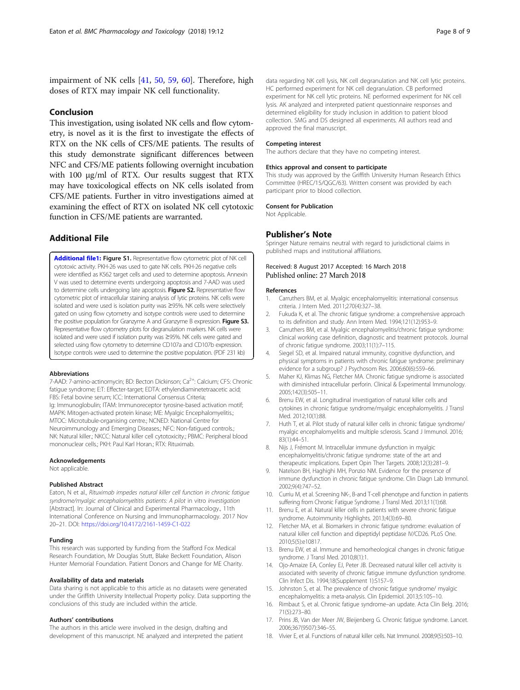<span id="page-7-0"></span>impairment of NK cells [\[41](#page-8-0), [50,](#page-8-0) [59](#page-8-0), [60\]](#page-8-0). Therefore, high doses of RTX may impair NK cell functionality.

## Conclusion

This investigation, using isolated NK cells and flow cytometry, is novel as it is the first to investigate the effects of RTX on the NK cells of CFS/ME patients. The results of this study demonstrate significant differences between NFC and CFS/ME patients following overnight incubation with 100 μg/ml of RTX. Our results suggest that RTX may have toxicological effects on NK cells isolated from CFS/ME patients. Further in vitro investigations aimed at examining the effect of RTX on isolated NK cell cytotoxic function in CFS/ME patients are warranted.

## Additional File

[Additional file1:](https://doi.org/10.1186/s40360-018-0203-8) Figure S1. Representative flow cytometric plot of NK cell cytotoxic activity. PKH-26 was used to gate NK cells. PKH-26 negative cells were identified as K562 target cells and used to determine apoptosis. Annexin V was used to determine events undergoing apoptosis and 7-AAD was used to determine cells undergoing late apoptosis. Figure S2. Representative flow cytometric plot of intracellular staining analysis of lytic proteins. NK cells were isolated and were used is isolation purity was ≥95%. NK cells were selectively gated on using flow cytometry and isotype controls were used to determine the positive population for Granzyme A and Granzyme B expression. Figure S3. Representative flow cytometry plots for degranulation markers. NK cells were isolated and were used if isolation purity was ≥95%. NK cells were gated and selected using flow cytometry to determine CD107a and CD107b expression. Isotype controls were used to determine the positive population. (PDF 231 kb)

#### Abbreviations

7-AAD: 7-amino-actinomycin; BD: Becton Dickinson; Ca<sup>2+</sup>: Calcium; CFS: Chronic fatique syndrome; E:T: Effecter-target; EDTA: ethylendiaminetetraacetic acid; FBS: Fetal bovine serum; ICC: International Consensus Criteria; Ig: Immunoglobulin; ITAM: Immunoreceptor tyrosine-based activation motif; MAPK: Mitogen-activated protein kinase; ME: Myalgic Encephalomyelitis.; MTOC: Microtubule-organising centre.; NCNED: National Centre for Neuroimmunology and Emerging Diseases.; NFC: Non-fatigued controls.; NK: Natural killer.; NKCC: Natural killer cell cytotoxicity.; PBMC: Peripheral blood mononuclear cells.; PKH: Paul Karl Horan.; RTX: Rituximab.

#### Acknowledgements

Not applicable.

#### Published Abstract

Eaton, N et al., Rituximab impedes natural killer cell function in chronic fatigue syndrome/myalgic encephalomyeltitis patients: A pilot in vitro investigation [Abstract]. In: Journal of Clinical and Experimental Pharmacology., 11th International Conference on Nursing and Immunopharmacology. 2017 Nov 20–21. DOI: <https://doi.org/10.4172/2161-1459-C1-022>

#### Funding

This research was supported by funding from the Stafford Fox Medical Research Foundation, Mr Douglas Stutt, Blake Beckett Foundation, Alison Hunter Memorial Foundation. Patient Donors and Change for ME Charity.

#### Availability of data and materials

Data sharing is not applicable to this article as no datasets were generated under the Griffith University Intellectual Property policy. Data supporting the conclusions of this study are included within the article.

#### Authors' contributions

The authors in this article were involved in the design, drafting and development of this manuscript. NE analyzed and interpreted the patient data regarding NK cell lysis, NK cell degranulation and NK cell lytic proteins. HC performed experiment for NK cell degranulation. CB performed experiment for NK cell lytic proteins. NE performed experiment for NK cell lysis. AK analyzed and interpreted patient questionnaire responses and determined eligibility for study inclusion in addition to patient blood collection. SMG and DS designed all experiments. All authors read and approved the final manuscript.

#### Competing interest

The authors declare that they have no competing interest.

#### Ethics approval and consent to participate

This study was approved by the Griffith University Human Research Ethics Committee (HREC/15/QGC/63). Written consent was provided by each participant prior to blood collection.

#### Consent for Publication

Not Applicable.

#### Publisher's Note

Springer Nature remains neutral with regard to jurisdictional claims in published maps and institutional affiliations.

#### Received: 8 August 2017 Accepted: 16 March 2018 Published online: 27 March 2018

#### References

- 1. Carruthers BM, et al. Myalgic encephalomyelitis: international consensus criteria. J Intern Med. 2011;270(4):327–38.
- 2. Fukuda K, et al. The chronic fatigue syndrome: a comprehensive approach to its definition and study. Ann Intern Med. 1994;121(12):953–9.
- 3. Carruthers BM, et al. Myalgic encephalomyelitis/chronic fatigue syndrome: clinical working case definition, diagnostic and treatment protocols. Journal of chronic fatigue syndrome. 2003;11(1):7–115.
- 4. Siegel SD, et al. Impaired natural immunity, cognitive dysfunction, and physical symptoms in patients with chronic fatigue syndrome: preliminary evidence for a subgroup? J Psychosom Res. 2006;60(6):559–66.
- 5. Maher KJ, Klimas NG, Fletcher MA. Chronic fatigue syndrome is associated with diminished intracellular perforin. Clinical & Experimental Immunology. 2005;142(3):505–11.
- Brenu EW, et al. Longitudinal investigation of natural killer cells and cytokines in chronic fatigue syndrome/myalgic encephalomyelitis. J Transl Med. 2012;10(1):88.
- 7. Huth T, et al. Pilot study of natural killer cells in chronic fatigue syndrome/ myalgic encephalomyelitis and multiple sclerosis. Scand J Immunol. 2016; 83(1):44–51.
- 8. Nijs J, Frémont M. Intracellular immune dysfunction in myalgic encephalomyelitis/chronic fatigue syndrome: state of the art and therapeutic implications. Expert Opin Ther Targets. 2008;12(3):281–9.
- 9. Natelson BH, Haghighi MH, Ponzio NM. Evidence for the presence of immune dysfunction in chronic fatigue syndrome. Clin Diagn Lab Immunol. 2002;9(4):747–52.
- 10. Curriu M, et al. Screening NK-, B-and T-cell phenotype and function in patients suffering from Chronic Fatigue Syndrome. J Transl Med. 2013;11(1):68.
- 11. Brenu E, et al. Natural killer cells in patients with severe chronic fatigue syndrome. Autoimmunity Highlights. 2013;4(3):69–80.
- 12. Fletcher MA, et al. Biomarkers in chronic fatigue syndrome: evaluation of natural killer cell function and dipeptidyl peptidase IV/CD26. PLoS One. 2010;5(5):e10817.
- 13. Brenu EW, et al. Immune and hemorheological changes in chronic fatigue syndrome. J Transl Med. 2010;8(1):1.
- 14. Ojo-Amaize EA, Conley EJ, Peter JB. Decreased natural killer cell activity is associated with severity of chronic fatigue immune dysfunction syndrome. Clin Infect Dis. 1994;18(Supplement 1):S157–9.
- 15. Johnston S, et al. The prevalence of chronic fatigue syndrome/ myalgic encephalomyelitis: a meta-analysis. Clin Epidemiol. 2013;5:105–10.
- 16. Rimbaut S, et al. Chronic fatigue syndrome–an update. Acta Clin Belg. 2016; 71(5):273–80.
- 17. Prins JB, Van der Meer JW, Bleijenberg G. Chronic fatigue syndrome. Lancet. 2006;367(9507):346–55.
- 18. Vivier E, et al. Functions of natural killer cells. Nat Immunol. 2008;9(5):503–10.